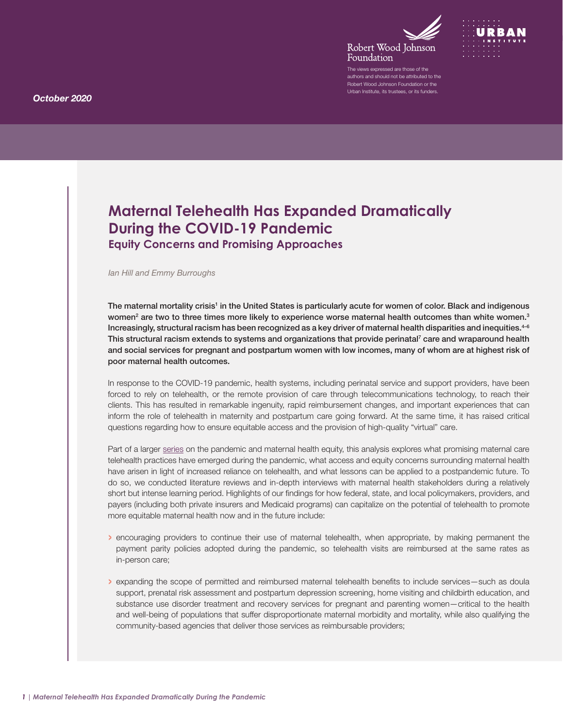



The views expressed are those of the authors and should not be attributed to the Robert Wood Johnson Foundation or the Urban Institute, its trustees, or its funders.

# <span id="page-0-0"></span>**Maternal Telehealth Has Expanded Dramatically During the COVID-19 Pandemic Equity Concerns and Promising Approaches**

#### *Ian Hill and Emmy Burroughs*

The maternal mortality crisis<sup>1</sup> in the United States is particularly acute for women of color. Black and indigenous women<sup>[2](#page-7-0)</sup> are two to three times more likely to experience worse maternal health outcomes than white women.<sup>3</sup> Increasingly, structural racism has been recognized as a key driver of maternal health disparities and inequities. $4-6$ This structural racism extends to systems and organizations that provide perinatal<sup>7</sup> care and wraparound health and social services for pregnant and postpartum women with low incomes, many of whom are at highest risk of poor maternal health outcomes.

In response to the COVID-19 pandemic, health systems, including perinatal service and support providers, have been forced to rely on telehealth, or the remote provision of care through telecommunications technology, to reach their clients. This has resulted in remarkable ingenuity, rapid reimbursement changes, and important experiences that can inform the role of telehealth in maternity and postpartum care going forward. At the same time, it has raised critical questions regarding how to ensure equitable access and the provision of high-quality "virtual" care.

Part of a larger [series](https://www.rwjf.org/en/library/research/2020/10/maternal-health-inequity-during-the-covid-19-pandemic.html) on the pandemic and maternal health equity, this analysis explores what promising maternal care telehealth practices have emerged during the pandemic, what access and equity concerns surrounding maternal health have arisen in light of increased reliance on telehealth, and what lessons can be applied to a postpandemic future. To do so, we conducted literature reviews and in-depth interviews with maternal health stakeholders during a relatively short but intense learning period. Highlights of our findings for how federal, state, and local policymakers, providers, and payers (including both private insurers and Medicaid programs) can capitalize on the potential of telehealth to promote more equitable maternal health now and in the future include:

- › encouraging providers to continue their use of maternal telehealth, when appropriate, by making permanent the payment parity policies adopted during the pandemic, so telehealth visits are reimbursed at the same rates as in-person care;
- › expanding the scope of permitted and reimbursed maternal telehealth benefits to include services—such as doula support, prenatal risk assessment and postpartum depression screening, home visiting and childbirth education, and substance use disorder treatment and recovery services for pregnant and parenting women—critical to the health and well-being of populations that suffer disproportionate maternal morbidity and mortality, while also qualifying the community-based agencies that deliver those services as reimbursable providers;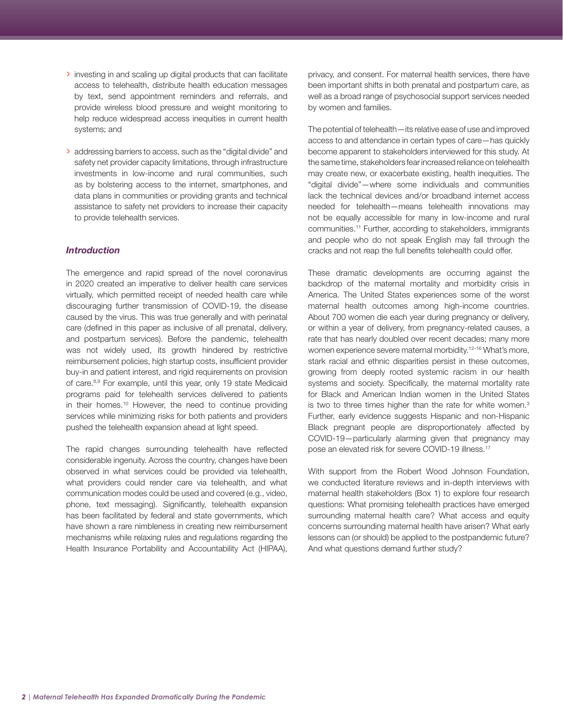- <span id="page-1-0"></span>› investing in and scaling up digital products that can facilitate access to telehealth, distribute health education messages by text, send appointment reminders and referrals, and provide wireless blood pressure and weight monitoring to help reduce widespread access inequities in current health systems; and
- › addressing barriers to access, such as the "digital divide" and safety net provider capacity limitations, through infrastructure investments in low-income and rural communities, such as by bolstering access to the internet, smartphones, and data plans in communities or providing grants and technical assistance to safety net providers to increase their capacity to provide telehealth services.

## *Introduction*

The emergence and rapid spread of the novel coronavirus in 2020 created an imperative to deliver health care services virtually, which permitted receipt of needed health care while discouraging further transmission of COVID-19, the disease caused by the virus. This was true generally and with perinatal care (defined in this paper as inclusive of all prenatal, delivery, and postpartum services). Before the pandemic, telehealth was not widely used, its growth hindered by restrictive reimbursement policies, high startup costs, insufficient provider buy-in and patient interest, and rigid requirements on provision of care.<sup>[8,9](#page-7-0)</sup> For example, until this year, only 19 state Medicaid programs paid for telehealth services delivered to patients in their homes.[10](#page-7-0) However, the need to continue providing services while minimizing risks for both patients and providers pushed the telehealth expansion ahead at light speed.

The rapid changes surrounding telehealth have reflected considerable ingenuity. Across the country, changes have been observed in what services could be provided via telehealth, what providers could render care via telehealth, and what communication modes could be used and covered (e.g., video, phone, text messaging). Significantly, telehealth expansion has been facilitated by federal and state governments, which have shown a rare nimbleness in creating new reimbursement mechanisms while relaxing rules and regulations regarding the Health Insurance Portability and Accountability Act (HIPAA),

privacy, and consent. For maternal health services, there have been important shifts in both prenatal and postpartum care, as well as a broad range of psychosocial support services needed by women and families.

The potential of telehealth—its relative ease of use and improved access to and attendance in certain types of care—has quickly become apparent to stakeholders interviewed for this study. At the same time, stakeholders fear increased reliance on telehealth may create new, or exacerbate existing, health inequities. The "digital divide"—where some individuals and communities lack the technical devices and/or broadband internet access needed for telehealth—means telehealth innovations may not be equally accessible for many in low-income and rural communities[.11](#page-7-0) Further, according to stakeholders, immigrants and people who do not speak English may fall through the cracks and not reap the full benefits telehealth could offer.

These dramatic developments are occurring against the backdrop of the maternal mortality and morbidity crisis in America. The United States experiences some of the worst maternal health outcomes among high-income countries. About 700 women die each year during pregnancy or delivery, or within a year of delivery, from pregnancy-related causes, a rate that has nearly doubled over recent decades; many more women experience severe maternal morbidity.<sup>12–16</sup> What's more, stark racial and ethnic disparities persist in these outcomes, growing from deeply rooted systemic racism in our health systems and society. Specifically, the maternal mortality rate for Black and American Indian women in the United States is two to three times higher than the rate for white women.<sup>3</sup> Further, early evidence suggests Hispanic and non-Hispanic Black pregnant people are disproportionately affected by COVID-19—particularly alarming given that pregnancy may pose an elevated risk for severe COVID-19 illness.<sup>[17](#page-7-0)</sup>

With support from the Robert Wood Johnson Foundation, we conducted literature reviews and in-depth interviews with maternal health stakeholders (Box 1) to explore four research questions: What promising telehealth practices have emerged surrounding maternal health care? What access and equity concerns surrounding maternal health have arisen? What early lessons can (or should) be applied to the postpandemic future? And what questions demand further study?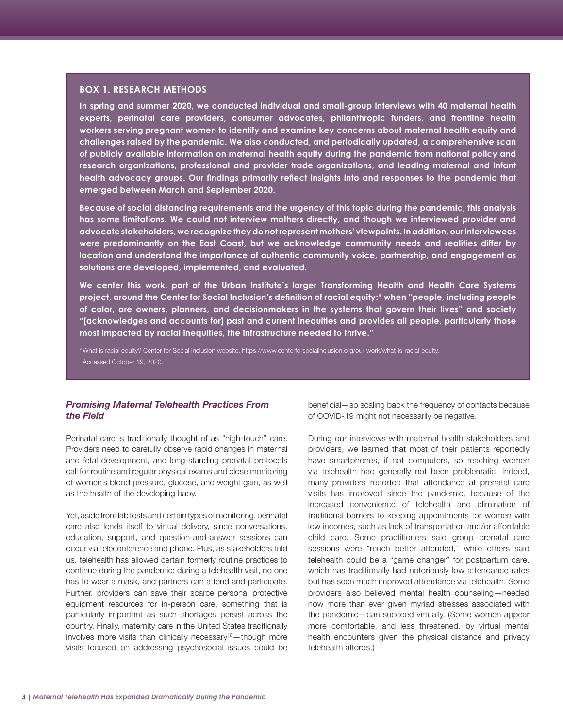## <span id="page-2-0"></span>**BOX 1. RESEARCH METHODS**

**In spring and summer 2020, we conducted individual and small-group interviews with 40 maternal health experts, perinatal care providers, consumer advocates, philanthropic funders, and frontline health workers serving pregnant women to identify and examine key concerns about maternal health equity and challenges raised by the pandemic. We also conducted, and periodically updated, a comprehensive scan of publicly available information on maternal health equity during the pandemic from national policy and research organizations, professional and provider trade organizations, and leading maternal and infant health advocacy groups. Our findings primarily reflect insights into and responses to the pandemic that emerged between March and September 2020.**

**Because of social distancing requirements and the urgency of this topic during the pandemic, this analysis has some limitations. We could not interview mothers directly, and though we interviewed provider and advocate stakeholders, we recognize they do not represent mothers' viewpoints. In addition, our interviewees were predominantly on the East Coast, but we acknowledge community needs and realities differ by location and understand the importance of authentic community voice, partnership, and engagement as solutions are developed, implemented, and evaluated.** 

**We center this work, part of the Urban Institute's larger Transforming Health and Health Care Systems project, around the Center for Social Inclusion's definition of racial equity:\* when "people, including people of color, are owners, planners, and decisionmakers in the systems that govern their lives" and society "[acknowledges and accounts for] past and current inequities and provides all people, particularly those most impacted by racial inequities, the infrastructure needed to thrive."**

\* What is racial equity? Center for Social Inclusion website. [https://www.centerforsocialinclusion.org/our-work/what-is-racial-equity.](https://www.centerforsocialinclusion.org/our-work/what-is-racial-equity/) Accessed October 19, 2020.

## *Promising Maternal Telehealth Practices From the Field*

Perinatal care is traditionally thought of as "high-touch" care. Providers need to carefully observe rapid changes in maternal and fetal development, and long-standing prenatal protocols call for routine and regular physical exams and close monitoring of women's blood pressure, glucose, and weight gain, as well as the health of the developing baby.

Yet, aside from lab tests and certain types of monitoring, perinatal care also lends itself to virtual delivery, since conversations, education, support, and question-and-answer sessions can occur via teleconference and phone. Plus, as stakeholders told us, telehealth has allowed certain formerly routine practices to continue during the pandemic: during a telehealth visit, no one has to wear a mask, and partners can attend and participate. Further, providers can save their scarce personal protective equipment resources for in-person care, something that is particularly important as such shortages persist across the country. Finally, maternity care in the United States traditionally involves more visits than clinically necessary<sup>18</sup>-though more visits focused on addressing psychosocial issues could be beneficial—so scaling back the frequency of contacts because of COVID-19 might not necessarily be negative.

During our interviews with maternal health stakeholders and providers, we learned that most of their patients reportedly have smartphones, if not computers, so reaching women via telehealth had generally not been problematic. Indeed, many providers reported that attendance at prenatal care visits has improved since the pandemic, because of the increased convenience of telehealth and elimination of traditional barriers to keeping appointments for women with low incomes, such as lack of transportation and/or affordable child care. Some practitioners said group prenatal care sessions were "much better attended," while others said telehealth could be a "game changer" for postpartum care, which has traditionally had notoriously low attendance rates but has seen much improved attendance via telehealth. Some providers also believed mental health counseling—needed now more than ever given myriad stresses associated with the pandemic—can succeed virtually. (Some women appear more comfortable, and less threatened, by virtual mental health encounters given the physical distance and privacy telehealth affords.)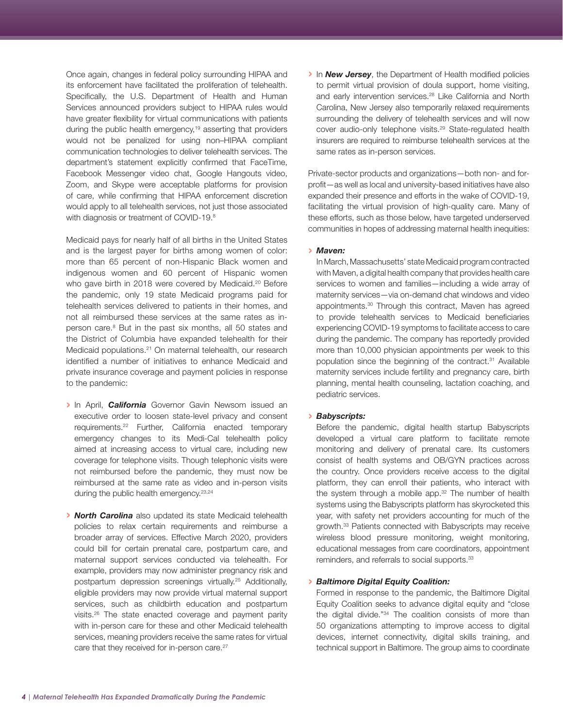<span id="page-3-0"></span>Once again, changes in federal policy surrounding HIPAA and its enforcement have facilitated the proliferation of telehealth. Specifically, the U.S. Department of Health and Human Services announced providers subject to HIPAA rules would have greater flexibility for virtual communications with patients during the public health emergency,<sup>19</sup> asserting that providers would not be penalized for using non–HIPAA compliant communication technologies to deliver telehealth services. The department's statement explicitly confirmed that FaceTime, Facebook Messenger video chat, Google Hangouts video, Zoom, and Skype were acceptable platforms for provision of care, while confirming that HIPAA enforcement discretion would apply to all telehealth services, not just those associated with diagnosis or treatment of COVID-19.<sup>8</sup>

Medicaid pays for nearly half of all births in the United States and is the largest payer for births among women of color: more than 65 percent of non-Hispanic Black women and indigenous women and 60 percent of Hispanic women who gave birth in 2018 were covered by Medicaid.<sup>20</sup> Before the pandemic, only 19 state Medicaid programs paid for telehealth services delivered to patients in their homes, and not all reimbursed these services at the same rates as inperson care.<sup>8</sup> But in the past six months, all 50 states and the District of Columbia have expanded telehealth for their Medicaid populations.<sup>21</sup> On maternal telehealth, our research identified a number of initiatives to enhance Medicaid and private insurance coverage and payment policies in response to the pandemic:

- › In April, *California* Governor Gavin Newsom issued an executive order to loosen state-level privacy and consent requirements.[22](#page-8-0) Further, California enacted temporary emergency changes to its Medi-Cal telehealth policy aimed at increasing access to virtual care, including new coverage for telephone visits. Though telephonic visits were not reimbursed before the pandemic, they must now be reimbursed at the same rate as video and in-person visits during the public health emergency.<sup>[23,24](#page-8-0)</sup>
- › *North Carolina* also updated its state Medicaid telehealth policies to relax certain requirements and reimburse a broader array of services. Effective March 2020, providers could bill for certain prenatal care, postpartum care, and maternal support services conducted via telehealth. For example, providers may now administer pregnancy risk and postpartum depression screenings virtually.<sup>25</sup> Additionally, eligible providers may now provide virtual maternal support services, such as childbirth education and postpartum visits[.26](#page-8-0) The state enacted coverage and payment parity with in-person care for these and other Medicaid telehealth services, meaning providers receive the same rates for virtual care that they received for in-person care.<sup>27</sup>

› In *New Jersey*, the Department of Health modified policies to permit virtual provision of doula support, home visiting, and early intervention services.<sup>28</sup> Like California and North Carolina, New Jersey also temporarily relaxed requirements surrounding the delivery of telehealth services and will now cover audio-only telephone visits.<sup>29</sup> State-regulated health insurers are required to reimburse telehealth services at the same rates as in-person services.

Private-sector products and organizations—both non- and forprofit—as well as local and university-based initiatives have also expanded their presence and efforts in the wake of COVID-19, facilitating the virtual provision of high-quality care. Many of these efforts, such as those below, have targeted underserved communities in hopes of addressing maternal health inequities:

#### › *Maven:*

In March, Massachusetts' state Medicaid program contracted with Maven, a digital health company that provides health care services to women and families—including a wide array of maternity services—via on-demand chat windows and video appointments.<sup>30</sup> Through this contract. Maven has agreed to provide telehealth services to Medicaid beneficiaries experiencing COVID-19 symptoms to facilitate access to care during the pandemic. The company has reportedly provided more than 10,000 physician appointments per week to this population since the beginning of the contract.<sup>31</sup> Available maternity services include fertility and pregnancy care, birth planning, mental health counseling, lactation coaching, and pediatric services.

#### › *Babyscripts:*

Before the pandemic, digital health startup Babyscripts developed a virtual care platform to facilitate remote monitoring and delivery of prenatal care. Its customers consist of health systems and OB/GYN practices across the country. Once providers receive access to the digital platform, they can enroll their patients, who interact with the system through a mobile app.<sup>32</sup> The number of health systems using the Babyscripts platform has skyrocketed this year, with safety net providers accounting for much of the growth.[33](#page-8-0) Patients connected with Babyscripts may receive wireless blood pressure monitoring, weight monitoring, educational messages from care coordinators, appointment reminders, and referrals to social supports.33

### › *Baltimore Digital Equity Coalition:*

Formed in response to the pandemic, the Baltimore Digital Equity Coalition seeks to advance digital equity and "close the digital divide.["34](#page-8-0) The coalition consists of more than 50 organizations attempting to improve access to digital devices, internet connectivity, digital skills training, and technical support in Baltimore. The group aims to coordinate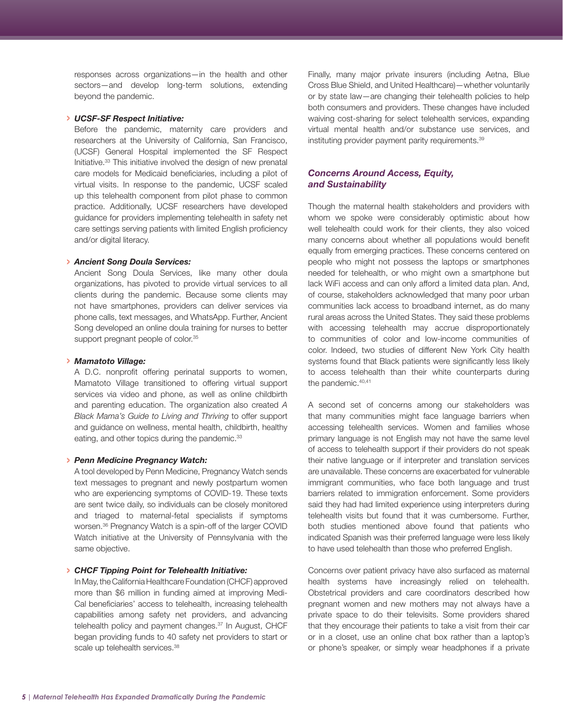<span id="page-4-0"></span>responses across organizations—in the health and other sectors—and develop long-term solutions, extending beyond the pandemic.

#### › *UCSF-SF Respect Initiative:*

Before the pandemic, maternity care providers and researchers at the University of California, San Francisco, (UCSF) General Hospital implemented the SF Respect Initiative.33 This initiative involved the design of new prenatal care models for Medicaid beneficiaries, including a pilot of virtual visits. In response to the pandemic, UCSF scaled up this telehealth component from pilot phase to common practice. Additionally, UCSF researchers have developed guidance for providers implementing telehealth in safety net care settings serving patients with limited English proficiency and/or digital literacy.

### › *Ancient Song Doula Services:*

Ancient Song Doula Services, like many other doula organizations, has pivoted to provide virtual services to all clients during the pandemic. Because some clients may not have smartphones, providers can deliver services via phone calls, text messages, and WhatsApp. Further, Ancient Song developed an online doula training for nurses to better support pregnant people of color.<sup>35</sup>

#### › *Mamatoto Village:*

A D.C. nonprofit offering perinatal supports to women, Mamatoto Village transitioned to offering virtual support services via video and phone, as well as online childbirth and parenting education. The organization also created *A Black Mama's Guide to Living and Thriving* to offer support and guidance on wellness, mental health, childbirth, healthy eating, and other topics during the pandemic.<sup>33</sup>

#### › *Penn Medicine Pregnancy Watch:*

A tool developed by Penn Medicine, Pregnancy Watch sends text messages to pregnant and newly postpartum women who are experiencing symptoms of COVID-19. These texts are sent twice daily, so individuals can be closely monitored and triaged to maternal-fetal specialists if symptoms worsen.[36](#page-8-0) Pregnancy Watch is a spin-off of the larger COVID Watch initiative at the University of Pennsylvania with the same objective.

## › *CHCF Tipping Point for Telehealth Initiative:*

In May, the California Healthcare Foundation (CHCF) approved more than \$6 million in funding aimed at improving Medi-Cal beneficiaries' access to telehealth, increasing telehealth capabilities among safety net providers, and advancing telehealth policy and payment changes.<sup>37</sup> In August, CHCF began providing funds to 40 safety net providers to start or scale up telehealth services.<sup>38</sup>

Finally, many major private insurers (including Aetna, Blue Cross Blue Shield, and United Healthcare)—whether voluntarily or by state law—are changing their telehealth policies to help both consumers and providers. These changes have included waiving cost-sharing for select telehealth services, expanding virtual mental health and/or substance use services, and instituting provider payment parity requirements.<sup>39</sup>

## *Concerns Around Access, Equity, and Sustainability*

Though the maternal health stakeholders and providers with whom we spoke were considerably optimistic about how well telehealth could work for their clients, they also voiced many concerns about whether all populations would benefit equally from emerging practices. These concerns centered on people who might not possess the laptops or smartphones needed for telehealth, or who might own a smartphone but lack WiFi access and can only afford a limited data plan. And, of course, stakeholders acknowledged that many poor urban communities lack access to broadband internet, as do many rural areas across the United States. They said these problems with accessing telehealth may accrue disproportionately to communities of color and low-income communities of color. Indeed, two studies of different New York City health systems found that Black patients were significantly less likely to access telehealth than their white counterparts during the pandemic.<sup>[40,41](#page-8-0)</sup>

A second set of concerns among our stakeholders was that many communities might face language barriers when accessing telehealth services. Women and families whose primary language is not English may not have the same level of access to telehealth support if their providers do not speak their native language or if interpreter and translation services are unavailable. These concerns are exacerbated for vulnerable immigrant communities, who face both language and trust barriers related to immigration enforcement. Some providers said they had had limited experience using interpreters during telehealth visits but found that it was cumbersome. Further, both studies mentioned above found that patients who indicated Spanish was their preferred language were less likely to have used telehealth than those who preferred English.

Concerns over patient privacy have also surfaced as maternal health systems have increasingly relied on telehealth. Obstetrical providers and care coordinators described how pregnant women and new mothers may not always have a private space to do their televisits. Some providers shared that they encourage their patients to take a visit from their car or in a closet, use an online chat box rather than a laptop's or phone's speaker, or simply wear headphones if a private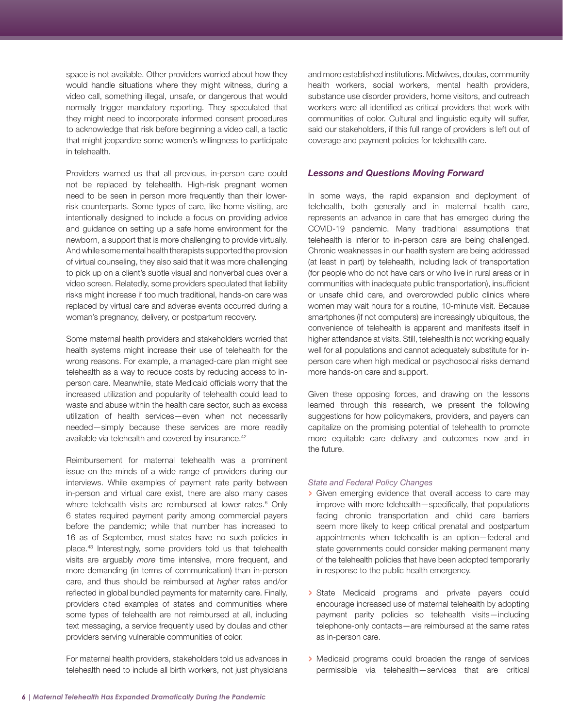<span id="page-5-0"></span>space is not available. Other providers worried about how they would handle situations where they might witness, during a video call, something illegal, unsafe, or dangerous that would normally trigger mandatory reporting. They speculated that they might need to incorporate informed consent procedures to acknowledge that risk before beginning a video call, a tactic that might jeopardize some women's willingness to participate in telehealth.

Providers warned us that all previous, in-person care could not be replaced by telehealth. High-risk pregnant women need to be seen in person more frequently than their lowerrisk counterparts. Some types of care, like home visiting, are intentionally designed to include a focus on providing advice and guidance on setting up a safe home environment for the newborn, a support that is more challenging to provide virtually. And while some mental health therapists supported the provision of virtual counseling, they also said that it was more challenging to pick up on a client's subtle visual and nonverbal cues over a video screen. Relatedly, some providers speculated that liability risks might increase if too much traditional, hands-on care was replaced by virtual care and adverse events occurred during a woman's pregnancy, delivery, or postpartum recovery.

Some maternal health providers and stakeholders worried that health systems might increase their use of telehealth for the wrong reasons. For example, a managed-care plan might see telehealth as a way to reduce costs by reducing access to inperson care. Meanwhile, state Medicaid officials worry that the increased utilization and popularity of telehealth could lead to waste and abuse within the health care sector, such as excess utilization of health services—even when not necessarily needed—simply because these services are more readily available via telehealth and covered by insurance[.42](#page-9-0)

Reimbursement for maternal telehealth was a prominent issue on the minds of a wide range of providers during our interviews. While examples of payment rate parity between in-person and virtual care exist, there are also many cases where telehealth visits are reimbursed at lower rates.<sup>6</sup> Only 6 states required payment parity among commercial payers before the pandemic; while that number has increased to 16 as of September, most states have no such policies in place[.43](#page-9-0) Interestingly, some providers told us that telehealth visits are arguably *more* time intensive, more frequent, and more demanding (in terms of communication) than in-person care, and thus should be reimbursed at *higher* rates and/or reflected in global bundled payments for maternity care. Finally, providers cited examples of states and communities where some types of telehealth are not reimbursed at all, including text messaging, a service frequently used by doulas and other providers serving vulnerable communities of color.

For maternal health providers, stakeholders told us advances in telehealth need to include all birth workers, not just physicians

and more established institutions. Midwives, doulas, community health workers, social workers, mental health providers, substance use disorder providers, home visitors, and outreach workers were all identified as critical providers that work with communities of color. Cultural and linguistic equity will suffer, said our stakeholders, if this full range of providers is left out of coverage and payment policies for telehealth care.

## *Lessons and Questions Moving Forward*

In some ways, the rapid expansion and deployment of telehealth, both generally and in maternal health care, represents an advance in care that has emerged during the COVID-19 pandemic. Many traditional assumptions that telehealth is inferior to in-person care are being challenged. Chronic weaknesses in our health system are being addressed (at least in part) by telehealth, including lack of transportation (for people who do not have cars or who live in rural areas or in communities with inadequate public transportation), insufficient or unsafe child care, and overcrowded public clinics where women may wait hours for a routine, 10-minute visit. Because smartphones (if not computers) are increasingly ubiquitous, the convenience of telehealth is apparent and manifests itself in higher attendance at visits. Still, telehealth is not working equally well for all populations and cannot adequately substitute for inperson care when high medical or psychosocial risks demand more hands-on care and support.

Given these opposing forces, and drawing on the lessons learned through this research, we present the following suggestions for how policymakers, providers, and payers can capitalize on the promising potential of telehealth to promote more equitable care delivery and outcomes now and in the future.

#### *State and Federal Policy Changes*

- › Given emerging evidence that overall access to care may improve with more telehealth—specifically, that populations facing chronic transportation and child care barriers seem more likely to keep critical prenatal and postpartum appointments when telehealth is an option—federal and state governments could consider making permanent many of the telehealth policies that have been adopted temporarily in response to the public health emergency.
- › State Medicaid programs and private payers could encourage increased use of maternal telehealth by adopting payment parity policies so telehealth visits—including telephone-only contacts—are reimbursed at the same rates as in-person care.
- › Medicaid programs could broaden the range of services permissible via telehealth—services that are critical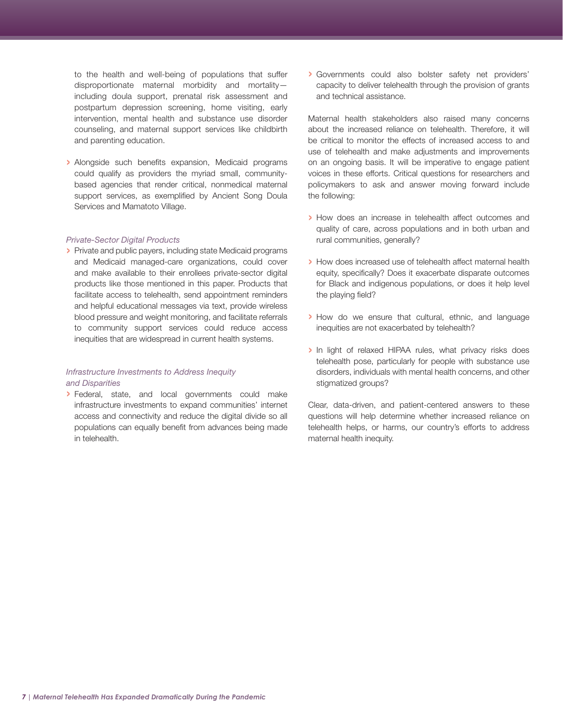to the health and well-being of populations that suffer disproportionate maternal morbidity and mortality including doula support, prenatal risk assessment and postpartum depression screening, home visiting, early intervention, mental health and substance use disorder counseling, and maternal support services like childbirth and parenting education.

› Alongside such benefits expansion, Medicaid programs could qualify as providers the myriad small, communitybased agencies that render critical, nonmedical maternal support services, as exemplified by Ancient Song Doula Services and Mamatoto Village.

#### *Private-Sector Digital Products*

› Private and public payers, including state Medicaid programs and Medicaid managed-care organizations, could cover and make available to their enrollees private-sector digital products like those mentioned in this paper. Products that facilitate access to telehealth, send appointment reminders and helpful educational messages via text, provide wireless blood pressure and weight monitoring, and facilitate referrals to community support services could reduce access inequities that are widespread in current health systems.

## *Infrastructure Investments to Address Inequity and Disparities*

› Federal, state, and local governments could make infrastructure investments to expand communities' internet access and connectivity and reduce the digital divide so all populations can equally benefit from advances being made in telehealth.

› Governments could also bolster safety net providers' capacity to deliver telehealth through the provision of grants and technical assistance.

Maternal health stakeholders also raised many concerns about the increased reliance on telehealth. Therefore, it will be critical to monitor the effects of increased access to and use of telehealth and make adjustments and improvements on an ongoing basis. It will be imperative to engage patient voices in these efforts. Critical questions for researchers and policymakers to ask and answer moving forward include the following:

- › How does an increase in telehealth affect outcomes and quality of care, across populations and in both urban and rural communities, generally?
- › How does increased use of telehealth affect maternal health equity, specifically? Does it exacerbate disparate outcomes for Black and indigenous populations, or does it help level the playing field?
- › How do we ensure that cultural, ethnic, and language inequities are not exacerbated by telehealth?
- › In light of relaxed HIPAA rules, what privacy risks does telehealth pose, particularly for people with substance use disorders, individuals with mental health concerns, and other stigmatized groups?

Clear, data-driven, and patient-centered answers to these questions will help determine whether increased reliance on telehealth helps, or harms, our country's efforts to address maternal health inequity.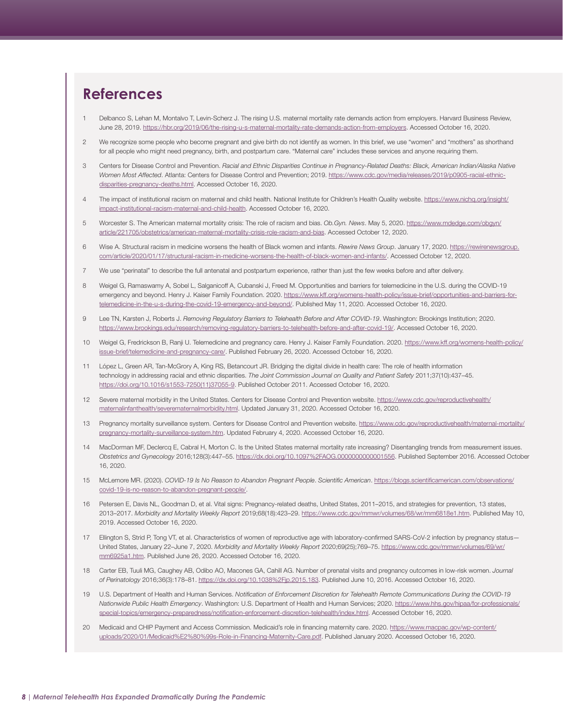# <span id="page-7-0"></span>**References**

- [1](#page-0-0) Delbanco S, Lehan M, Montalvo T, Levin-Scherz J. The rising U.S. maternal mortality rate demands action from employers. Harvard Business Review, June 28, 2019. <https://hbr.org/2019/06/the-rising-u-s-maternal-mortality-rate-demands-action-from-employers>. Accessed October 16, 2020.
- [2](#page-0-0) We recognize some people who become pregnant and give birth do not identify as women. In this brief, we use "women" and "mothers" as shorthand for all people who might need pregnancy, birth, and postpartum care. "Maternal care" includes these services and anyone requiring them.
- [3](#page-0-0) Centers for Disease Control and Prevention. *Racial and Ethnic Disparities Continue in Pregnancy-Related Deaths: Black, American Indian/Alaska Native Women Most Affected*. Atlanta: Centers for Disease Control and Prevention; 2019. [https://www.cdc.gov/media/releases/2019/p0905-racial-ethnic](https://www.cdc.gov/media/releases/2019/p0905-racial-ethnic-disparities-pregnancy-deaths.html)[disparities-pregnancy-deaths.html](https://www.cdc.gov/media/releases/2019/p0905-racial-ethnic-disparities-pregnancy-deaths.html). Accessed October 16, 2020.
- [4](#page-0-0) The impact of institutional racism on maternal and child health. National Institute for Children's Health Quality website. [https://www.nichq.org/insight/](https://www.nichq.org/insight/impact-institutional-racism-maternal-and-child-health) [impact-institutional-racism-maternal-and-child-health](https://www.nichq.org/insight/impact-institutional-racism-maternal-and-child-health). Accessed October 16, 2020.
- 5 Worcester S. The American maternal mortality crisis: The role of racism and bias. *Ob.Gyn. News*. May 5, 2020. [https://www.mdedge.com/obgyn/](https://www.mdedge.com/obgyn/article/221705/obstetrics/american-maternal-mortality-crisis-role-racism-and-bias) [article/221705/obstetrics/american-maternal-mortality-crisis-role-racism-and-bias.](https://www.mdedge.com/obgyn/article/221705/obstetrics/american-maternal-mortality-crisis-role-racism-and-bias) Accessed October 12, 2020.
- [6](#page-0-0) Wise A. Structural racism in medicine worsens the health of Black women and infants. *Rewire News Group*. January 17, 2020. [https://rewirenewsgroup.](https://rewirenewsgroup.com/article/2020/01/17/structural-racism-in-medicine-worsens-the-health-of-black-women-and-infants/) [com/article/2020/01/17/structural-racism-in-medicine-worsens-the-health-of-black-women-and-infants/](https://rewirenewsgroup.com/article/2020/01/17/structural-racism-in-medicine-worsens-the-health-of-black-women-and-infants/). Accessed October 12, 2020.
- [7](#page-0-0) We use "perinatal" to describe the full antenatal and postpartum experience, rather than just the few weeks before and after delivery.
- [8](#page-1-0) Weigel G, Ramaswamy A, Sobel L, Salganicoff A, Cubanski J, Freed M. Opportunities and barriers for telemedicine in the U.S. during the COVID-19 emergency and beyond. Henry J. Kaiser Family Foundation. 2020. [https://www.kff.org/womens-health-policy/issue-brief/opportunities-and-barriers-for](https://www.kff.org/womens-health-policy/issue-brief/opportunities-and-barriers-for-telemedicine-in-the-u-s-during-the-covid-19-emergency-and-beyond/)[telemedicine-in-the-u-s-during-the-covid-19-emergency-and-beyond/.](https://www.kff.org/womens-health-policy/issue-brief/opportunities-and-barriers-for-telemedicine-in-the-u-s-during-the-covid-19-emergency-and-beyond/) Published May 11, 2020. Accessed October 16, 2020.
- [9](#page-1-0) Lee TN, Karsten J, Roberts J. *Removing Regulatory Barriers to Telehealth Before and After COVID-19*. Washington: Brookings Institution; 2020. <https://www.brookings.edu/research/removing-regulatory-barriers-to-telehealth-before-and-after-covid-19/>. Accessed October 16, 2020.
- [10](#page-1-0) Weigel G, Fredrickson B, Ranji U. Telemedicine and pregnancy care. Henry J. Kaiser Family Foundation. 2020. [https://www.kff.org/womens-health-policy/](https://www.kff.org/womens-health-policy/issue-brief/telemedicine-and-pregnancy-care/) [issue-brief/telemedicine-and-pregnancy-care/](https://www.kff.org/womens-health-policy/issue-brief/telemedicine-and-pregnancy-care/). Published February 26, 2020. Accessed October 16, 2020.
- [11](#page-1-0) López L, Green AR, Tan-McGrory A, King RS, Betancourt JR. Bridging the digital divide in health care: The role of health information technology in addressing racial and ethnic disparities. *The Joint Commission Journal on Quality and Patient Safety* 2011;37(10):437–45. [https://doi.org/10.1016/s1553-7250\(11\)37055-9](https://doi.org/10.1016/s1553-7250(11)37055-9). Published October 2011. Accessed October 16, 2020.
- [12](#page-1-0) Severe maternal morbidity in the United States. Centers for Disease Control and Prevention website. [https://www.cdc.gov/reproductivehealth/](https://www.cdc.gov/reproductivehealth/maternalinfanthealth/severematernalmorbidity.html) [maternalinfanthealth/severematernalmorbidity.html.](https://www.cdc.gov/reproductivehealth/maternalinfanthealth/severematernalmorbidity.html) Updated January 31, 2020. Accessed October 16, 2020.
- 13 Pregnancy mortality surveillance system. Centers for Disease Control and Prevention website. [https://www.cdc.gov/reproductivehealth/maternal-mortality/](https://www.cdc.gov/reproductivehealth/maternal-mortality/pregnancy-mortality-surveillance-system.htm) [pregnancy-mortality-surveillance-system.htm.](https://www.cdc.gov/reproductivehealth/maternal-mortality/pregnancy-mortality-surveillance-system.htm) Updated February 4, 2020. Accessed October 16, 2020.
- 14 MacDorman MF, Declercq E, Cabral H, Morton C. Is the United States maternal mortality rate increasing? Disentangling trends from measurement issues. *Obstetrics and Gynecology* 2016;128(3):447–55.<https://dx.doi.org/10.1097%2FAOG.0000000000001556>. Published September 2016. Accessed October 16, 2020.
- 15 McLemore MR. (2020). *COVID-19 Is No Reason to Abandon Pregnant People*. *Scientific American*. [https://blogs.scientificamerican.com/observations/](https://blogs.scientificamerican.com/observations/covid-19-is-no-reason-to-abandon-pregnant-people/) [covid-19-is-no-reason-to-abandon-pregnant-people/.](https://blogs.scientificamerican.com/observations/covid-19-is-no-reason-to-abandon-pregnant-people/)
- [16](#page-1-0) Petersen E, Davis NL, Goodman D, et al. Vital signs: Pregnancy-related deaths, United States, 2011–2015, and strategies for prevention, 13 states, 2013–2017. *Morbidity and Mortality Weekly Report* 2019;68(18):423–29. [https://www.cdc.gov/mmwr/volumes/68/wr/mm6818e1.htm.](https://www.cdc.gov/mmwr/volumes/68/wr/mm6818e1.htm) Published May 10, 2019. Accessed October 16, 2020.
- [17](#page-1-0) Ellington S, Strid P, Tong VT, et al. Characteristics of women of reproductive age with laboratory-confirmed SARS-CoV-2 infection by pregnancy status— United States, January 22–June 7, 2020. *Morbidity and Mortality Weekly Report* 2020;69(25);769–75. [https://www.cdc.gov/mmwr/volumes/69/wr/](https://www.cdc.gov/mmwr/volumes/69/wr/mm6925a1.htm) [mm6925a1.htm](https://www.cdc.gov/mmwr/volumes/69/wr/mm6925a1.htm). Published June 26, 2020. Accessed October 16, 2020.
- [18](#page-2-0) Carter EB, Tuuli MG, Caughey AB, Odibo AO, Macones GA, Cahill AG. Number of prenatal visits and pregnancy outcomes in low-risk women. *Journal of Perinatology* 2016;36(3):178–81.<https://dx.doi.org/10.1038%2Fjp.2015.183>. Published June 10, 2016. Accessed October 16, 2020.
- [19](#page-3-0) U.S. Department of Health and Human Services. *Notification of Enforcement Discretion for Telehealth Remote Communications During the COVID-19 Nationwide Public Health Emergency*. Washington: U.S. Department of Health and Human Services; 2020. [https://www.hhs.gov/hipaa/for-professionals/](https://www.hhs.gov/hipaa/for-professionals/special-topics/emergency-preparedness/notification-enforcement-discretion-telehealth/index.html) [special-topics/emergency-preparedness/notification-enforcement-discretion-telehealth/index.html.](https://www.hhs.gov/hipaa/for-professionals/special-topics/emergency-preparedness/notification-enforcement-discretion-telehealth/index.html) Accessed October 16, 2020.
- [20](#page-3-0) Medicaid and CHIP Payment and Access Commission. Medicaid's role in financing maternity care. 2020. [https://www.macpac.gov/wp-content/](https://www.macpac.gov/wp-content/uploads/2020/01/Medicaid%E2%80%99s-Role-in-Financing-Maternity-Care.pdf) [uploads/2020/01/Medicaid%E2%80%99s-Role-in-Financing-Maternity-Care.pdf.](https://www.macpac.gov/wp-content/uploads/2020/01/Medicaid%E2%80%99s-Role-in-Financing-Maternity-Care.pdf) Published January 2020. Accessed October 16, 2020.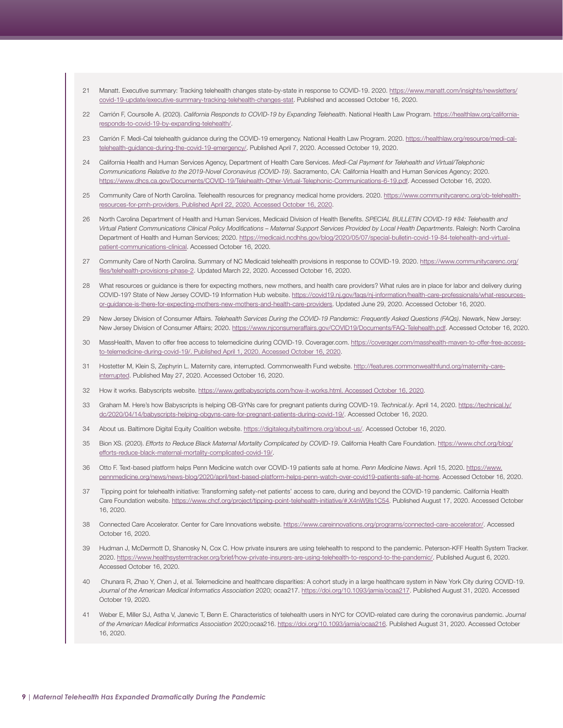- <span id="page-8-0"></span>[21](#page-3-0) Manatt. Executive summary: Tracking telehealth changes state-by-state in response to COVID-19. 2020. [https://www.manatt.com/insights/newsletters/](https://www.manatt.com/insights/newsletters/covid-19-update/executive-summary-tracking-telehealth-changes-stat) [covid-19-update/executive-summary-tracking-telehealth-changes-stat](https://www.manatt.com/insights/newsletters/covid-19-update/executive-summary-tracking-telehealth-changes-stat). Published and accessed October 16, 2020.
- [22](#page-3-0) Carrión F, Coursolle A. (2020). *California Responds to COVID-19 by Expanding Telehealth*. National Health Law Program. [https://healthlaw.org/california](https://healthlaw.org/california-responds-to-covid-19-by-expanding-telehealth/)[responds-to-covid-19-by-expanding-telehealth/](https://healthlaw.org/california-responds-to-covid-19-by-expanding-telehealth/).
- [23](#page-3-0) Carrión F. Medi-Cal telehealth guidance during the COVID-19 emergency. National Health Law Program. 2020. [https://healthlaw.org/resource/medi-cal](https://healthlaw.org/resource/medi-cal-telehealth-guidance-during-the-covid-19-emergency/)[telehealth-guidance-during-the-covid-19-emergency/.](https://healthlaw.org/resource/medi-cal-telehealth-guidance-during-the-covid-19-emergency/) Published April 7, 2020. Accessed October 19, 2020.
- [24](#page-3-0) California Health and Human Services Agency, Department of Health Care Services. *Medi-Cal Payment for Telehealth and Virtual/Telephonic Communications Relative to the 2019-Novel Coronavirus (COVID-19)*. Sacramento, CA: California Health and Human Services Agency; 2020. <https://www.dhcs.ca.gov/Documents/COVID-19/Telehealth-Other-Virtual-Telephonic-Communications-6-19.pdf>. Accessed October 16, 2020.
- [25](#page-3-0) Community Care of North Carolina. Telehealth resources for pregnancy medical home providers. 2020. [https://www.communitycarenc.org/ob-telehealth](https://www.communitycarenc.org/ob-telehealth-resources-for-pmh-providers)[resources-for-pmh-providers](https://www.communitycarenc.org/ob-telehealth-resources-for-pmh-providers). Published April 22, 2020. Accessed October 16, 2020.
- [26](#page-3-0) North Carolina Department of Health and Human Services, Medicaid Division of Health Benefits. *SPECIAL BULLETIN COVID-19 #84: Telehealth and Virtual Patient Communications Clinical Policy Modifications – Maternal Support Services Provided by Local Health Departments*. Raleigh: North Carolina Department of Health and Human Services; 2020. [https://medicaid.ncdhhs.gov/blog/2020/05/07/special-bulletin-covid-19-84-telehealth-and-virtual](https://medicaid.ncdhhs.gov/blog/2020/05/07/special-bulletin-covid-19-84-telehealth-and-virtual-patient-communications-clinical)[patient-communications-clinical](https://medicaid.ncdhhs.gov/blog/2020/05/07/special-bulletin-covid-19-84-telehealth-and-virtual-patient-communications-clinical). Accessed October 16, 2020.
- [27](#page-3-0) Community Care of North Carolina. Summary of NC Medicaid telehealth provisions in response to COVID-19. 2020. [https://www.communitycarenc.org/](https://www.communitycarenc.org/files/telehealth-provisions-phase-2) [files/telehealth-provisions-phase-2.](https://www.communitycarenc.org/files/telehealth-provisions-phase-2) Updated March 22, 2020. Accessed October 16, 2020.
- [28](#page-3-0) What resources or guidance is there for expecting mothers, new mothers, and health care providers? What rules are in place for labor and delivery during COVID-19? State of New Jersey COVID-19 Information Hub website. [https://covid19.nj.gov/faqs/nj-information/health-care-professionals/what-resources](https://covid19.nj.gov/faqs/nj-information/health-care-professionals/what-resources-or-guidance-is-there-for-expecting-mothers-new-mothers-and-health-care-providers)[or-guidance-is-there-for-expecting-mothers-new-mothers-and-health-care-providers](https://covid19.nj.gov/faqs/nj-information/health-care-professionals/what-resources-or-guidance-is-there-for-expecting-mothers-new-mothers-and-health-care-providers). Updated June 29, 2020. Accessed October 16, 2020.
- [29](#page-3-0) New Jersey Division of Consumer Affairs. *Telehealth Services During the COVID-19 Pandemic: Frequently Asked Questions (FAQs)*. Newark, New Jersey: New Jersey Division of Consumer Affairs; 2020. [https://www.njconsumeraffairs.gov/COVID19/Documents/FAQ-Telehealth.pdf.](https://www.njconsumeraffairs.gov/COVID19/Documents/FAQ-Telehealth.pdf) Accessed October 16, 2020.
- [30](#page-3-0) MassHealth, Maven to offer free access to telemedicine during COVID-19. Coverager.com. [https://coverager.com/masshealth-maven-to-offer-free-access](https://coverager.com/masshealth-maven-to-offer-free-access-to-telemedicine-during-covid-19/)[to-telemedicine-during-covid-19/](https://coverager.com/masshealth-maven-to-offer-free-access-to-telemedicine-during-covid-19/). Published April 1, 2020. Accessed October 16, 2020.
- [31](#page-3-0) Hostetter M, Klein S, Zephyrin L. Maternity care, interrupted. Commonwealth Fund website. [http://features.commonwealthfund.org/maternity-care](http://features.commonwealthfund.org/maternity-care-interrupted)[interrupted.](http://features.commonwealthfund.org/maternity-care-interrupted) Published May 27, 2020. Accessed October 16, 2020.
- [32](#page-3-0) How it works. Babyscripts website. <https://www.getbabyscripts.com/how-it-works.html>. Accessed October 16, 2020.
- [33](#page-3-0) Graham M. Here's how Babyscripts is helping OB-GYNs care for pregnant patients during COVID-19. *Technical.ly*. April 14, 2020. [https://technical.ly/](https://technical.ly/dc/2020/04/14/babyscripts-helping-obgyns-care-for-pregnant-patients-during-covid-19/) [dc/2020/04/14/babyscripts-helping-obgyns-care-for-pregnant-patients-during-covid-19/](https://technical.ly/dc/2020/04/14/babyscripts-helping-obgyns-care-for-pregnant-patients-during-covid-19/). Accessed October 16, 2020.
- [34](#page-3-0) About us. Baltimore Digital Equity Coalition website.<https://digitalequitybaltimore.org/about-us/>. Accessed October 16, 2020.
- [35](#page-4-0) Bion XS. (2020). *Efforts to Reduce Black Maternal Mortality Complicated by COVID-19*. California Health Care Foundation. [https://www.chcf.org/blog/](https://www.chcf.org/blog/efforts-reduce-black-maternal-mortality-complicated-covid-19/) [efforts-reduce-black-maternal-mortality-complicated-covid-19/.](https://www.chcf.org/blog/efforts-reduce-black-maternal-mortality-complicated-covid-19/)
- [36](#page-4-0) Otto F. Text-based platform helps Penn Medicine watch over COVID-19 patients safe at home. *Penn Medicine News*. April 15, 2020. [https://www.](https://www.pennmedicine.org/news/news-blog/2020/april/text-based-platform-helps-penn-watch-over-covid19-patients-safe-at-home) [pennmedicine.org/news/news-blog/2020/april/text-based-platform-helps-penn-watch-over-covid19-patients-safe-at-home.](https://www.pennmedicine.org/news/news-blog/2020/april/text-based-platform-helps-penn-watch-over-covid19-patients-safe-at-home) Accessed October 16, 2020.
- [37](#page-4-0) Tipping point for telehealth initiative: Transforming safety-net patients' access to care, during and beyond the COVID-19 pandemic. California Health Care Foundation website. https://www.chcf.org/project/tipping-point-telehealth-initiative/#.X4nW9Is1C54. Published August 17, 2020. Accessed October 16, 2020.
- [38](#page-4-0) Connected Care Accelerator. Center for Care Innovations website. [https://www.careinnovations.org/programs/connected-care-accelerator/.](https://www.careinnovations.org/programs/connected-care-accelerator/) Accessed October 16, 2020.
- [39](#page-4-0) Hudman J, McDermott D, Shanosky N, Cox C. How private insurers are using telehealth to respond to the pandemic. Peterson-KFF Health System Tracker. 2020. [https://www.healthsystemtracker.org/brief/how-private-insurers-are-using-telehealth-to-respond-to-the-pandemic/.](https://www.healthsystemtracker.org/brief/how-private-insurers-are-using-telehealth-to-respond-to-the-pandemic/) Published August 6, 2020. Accessed October 16, 2020.
- [40](#page-4-0) Chunara R, Zhao Y, Chen J, et al. Telemedicine and healthcare disparities: A cohort study in a large healthcare system in New York City during COVID-19. *Journal of the American Medical Informatics Association* 2020; ocaa217. [https://doi.org/10.1093/jamia/ocaa217.](https://doi.org/10.1093/jamia/ocaa217) Published August 31, 2020. Accessed October 19, 2020.
- [41](#page-4-0) Weber E, Miller SJ, Astha V, Janevic T, Benn E. Characteristics of telehealth users in NYC for COVID-related care during the coronavirus pandemic. *Journal of the American Medical Informatics Association* 2020;ocaa216. [https://doi.org/10.1093/jamia/ocaa216.](https://doi.org/10.1093/jamia/ocaa216) Published August 31, 2020. Accessed October 16, 2020.